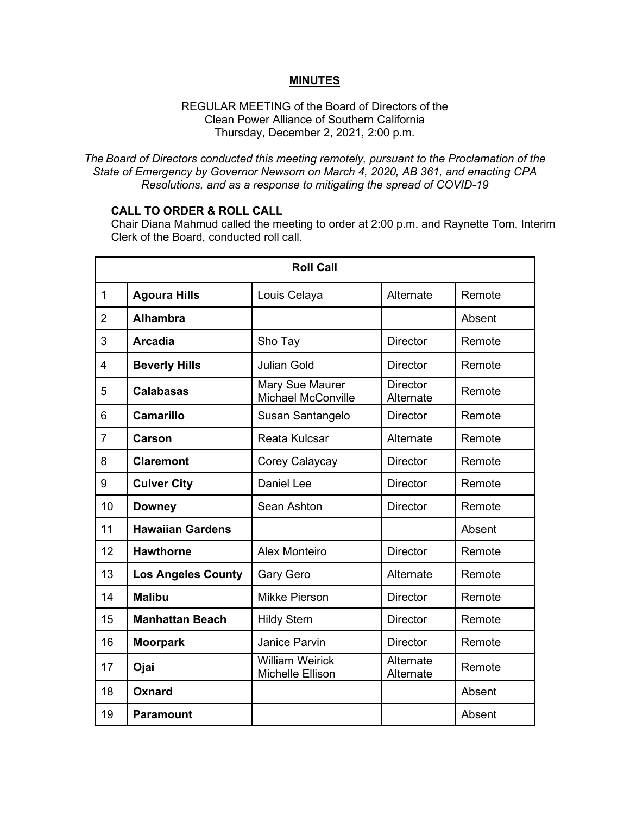## **MINUTES**

#### REGULAR MEETING of the Board of Directors of the Clean Power Alliance of Southern California Thursday, December 2, 2021, 2:00 p.m.

*The Board of Directors conducted this meeting remotely, pursuant to the Proclamation of the State of Emergency by Governor Newsom on March 4, 2020, AB 361, and enacting CPA Resolutions, and as a response to mitigating the spread of COVID-19*

# **CALL TO ORDER & ROLL CALL**

Chair Diana Mahmud called the meeting to order at 2:00 p.m. and Raynette Tom, Interim Clerk of the Board, conducted roll call.

| <b>Roll Call</b> |                           |                                            |                              |        |  |
|------------------|---------------------------|--------------------------------------------|------------------------------|--------|--|
| $\mathbf{1}$     | <b>Agoura Hills</b>       | Louis Celaya                               | Alternate                    | Remote |  |
| $\overline{2}$   | <b>Alhambra</b>           |                                            |                              | Absent |  |
| 3                | <b>Arcadia</b>            | Sho Tay                                    | <b>Director</b>              | Remote |  |
| 4                | <b>Beverly Hills</b>      | <b>Julian Gold</b>                         | <b>Director</b>              | Remote |  |
| 5                | <b>Calabasas</b>          | Mary Sue Maurer<br>Michael McConville      | <b>Director</b><br>Alternate | Remote |  |
| 6                | Camarillo                 | Susan Santangelo                           | <b>Director</b>              | Remote |  |
| $\overline{7}$   | Carson                    | Reata Kulcsar                              | Alternate                    | Remote |  |
| 8                | <b>Claremont</b>          | Corey Calaycay                             | <b>Director</b>              | Remote |  |
| 9                | <b>Culver City</b>        | <b>Daniel Lee</b>                          | <b>Director</b>              | Remote |  |
| 10               | <b>Downey</b>             | Sean Ashton                                | <b>Director</b>              | Remote |  |
| 11               | <b>Hawaiian Gardens</b>   |                                            |                              | Absent |  |
| 12               | <b>Hawthorne</b>          | <b>Alex Monteiro</b>                       | <b>Director</b>              | Remote |  |
| 13               | <b>Los Angeles County</b> | Gary Gero                                  | Alternate                    | Remote |  |
| 14               | <b>Malibu</b>             | <b>Mikke Pierson</b>                       | <b>Director</b>              | Remote |  |
| 15               | <b>Manhattan Beach</b>    | <b>Hildy Stern</b>                         | <b>Director</b>              | Remote |  |
| 16               | <b>Moorpark</b>           | Janice Parvin                              | <b>Director</b>              | Remote |  |
| 17               | Ojai                      | <b>William Weirick</b><br>Michelle Ellison | Alternate<br>Alternate       | Remote |  |
| 18               | Oxnard                    |                                            |                              | Absent |  |
| 19               | <b>Paramount</b>          |                                            |                              | Absent |  |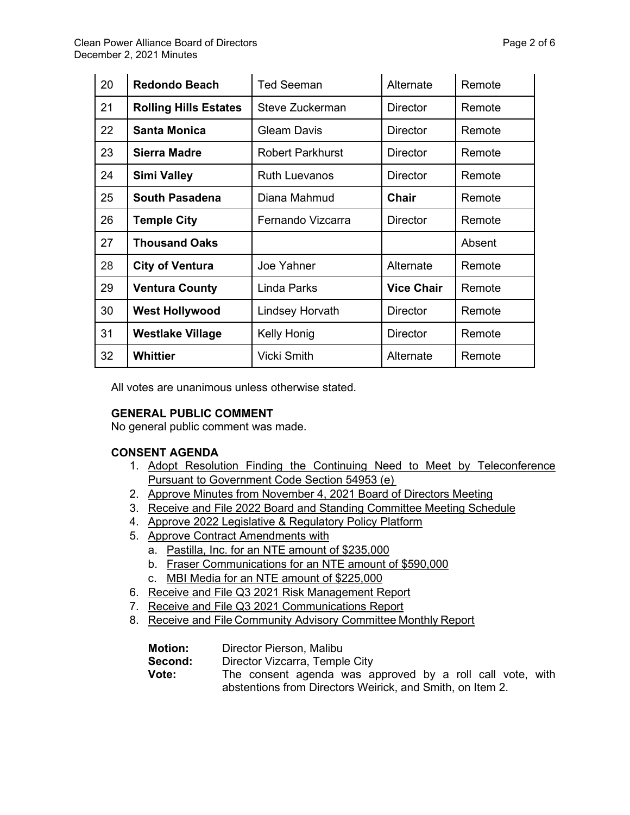| ۷U | Regongo Beach                | i ed Seeman             | Alternate         | Remote |
|----|------------------------------|-------------------------|-------------------|--------|
| 21 | <b>Rolling Hills Estates</b> | Steve Zuckerman         | <b>Director</b>   | Remote |
| 22 | <b>Santa Monica</b>          | <b>Gleam Davis</b>      | <b>Director</b>   | Remote |
| 23 | Sierra Madre                 | <b>Robert Parkhurst</b> | <b>Director</b>   | Remote |
| 24 | <b>Simi Valley</b>           | <b>Ruth Luevanos</b>    | <b>Director</b>   | Remote |
| 25 | <b>South Pasadena</b>        | Diana Mahmud            | <b>Chair</b>      | Remote |
| 26 | <b>Temple City</b>           | Fernando Vizcarra       | <b>Director</b>   | Remote |
| 27 | <b>Thousand Oaks</b>         |                         |                   | Absent |
| 28 | <b>City of Ventura</b>       | Joe Yahner              | Alternate         | Remote |
| 29 | <b>Ventura County</b>        | <b>Linda Parks</b>      | <b>Vice Chair</b> | Remote |
| 30 | <b>West Hollywood</b>        | <b>Lindsey Horvath</b>  | <b>Director</b>   | Remote |
| 31 | <b>Westlake Village</b>      | Kelly Honig             | <b>Director</b>   | Remote |
| 32 | Whittier                     | Vicki Smith             | Alternate         | Remote |

All votes are unanimous unless otherwise stated.

# **GENERAL PUBLIC COMMENT**

No general public comment was made.

# **CONSENT AGENDA**

- 1. Adopt Resolution Finding the Continuing Need to Meet by Teleconference Pursuant to Government Code Section 54953 (e)
- 2. Approve Minutes from November 4, 2021 Board of Directors Meeting
- 3. Receive and File 2022 Board and Standing Committee Meeting Schedule
- 4. Approve 2022 Legislative & Regulatory Policy Platform
- 5. Approve Contract Amendments with
	- a. Pastilla, Inc. for an NTE amount of \$235,000
	- b. Fraser Communications for an NTE amount of \$590,000
	- c. MBI Media for an NTE amount of \$225,000
- 6. Receive and File Q3 2021 Risk Management Report
- 7. Receive and File Q3 2021 Communications Report
- 8. Receive and File Community Advisory Committee Monthly Report

| <b>Motion:</b> | Director Pierson, Malibu                                  |
|----------------|-----------------------------------------------------------|
| Second:        | Director Vizcarra, Temple City                            |
| Vote:          | The consent agenda was approved by a roll call vote, with |
|                | abstentions from Directors Weirick, and Smith, on Item 2. |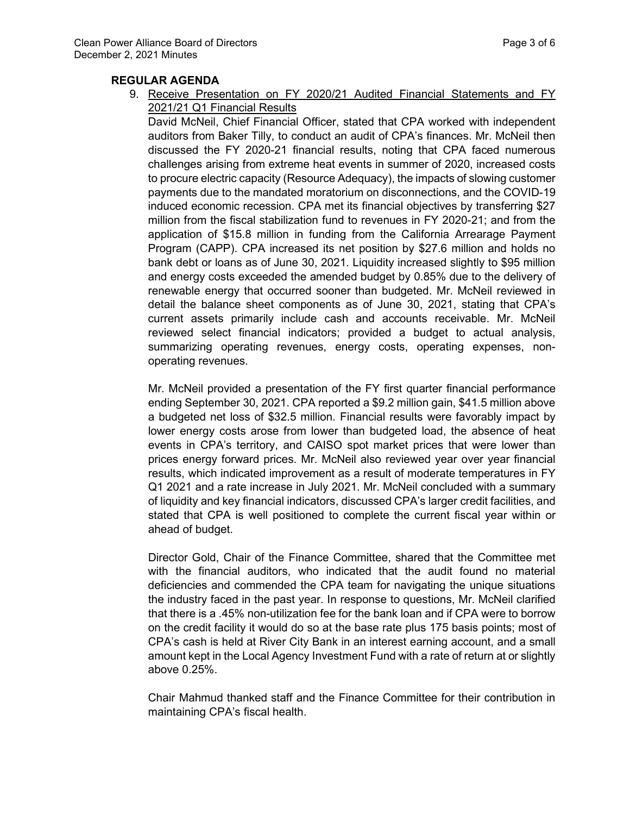## **REGULAR AGENDA**

9. Receive Presentation on FY 2020/21 Audited Financial Statements and FY 2021/21 Q1 Financial Results

David McNeil, Chief Financial Officer, stated that CPA worked with independent auditors from Baker Tilly, to conduct an audit of CPA's finances. Mr. McNeil then discussed the FY 2020-21 financial results, noting that CPA faced numerous challenges arising from extreme heat events in summer of 2020, increased costs to procure electric capacity (Resource Adequacy), the impacts of slowing customer payments due to the mandated moratorium on disconnections, and the COVID-19 induced economic recession. CPA met its financial objectives by transferring \$27 million from the fiscal stabilization fund to revenues in FY 2020-21; and from the application of \$15.8 million in funding from the California Arrearage Payment Program (CAPP). CPA increased its net position by \$27.6 million and holds no bank debt or loans as of June 30, 2021. Liquidity increased slightly to \$95 million and energy costs exceeded the amended budget by 0.85% due to the delivery of renewable energy that occurred sooner than budgeted. Mr. McNeil reviewed in detail the balance sheet components as of June 30, 2021, stating that CPA's current assets primarily include cash and accounts receivable. Mr. McNeil reviewed select financial indicators; provided a budget to actual analysis, summarizing operating revenues, energy costs, operating expenses, nonoperating revenues.

Mr. McNeil provided a presentation of the FY first quarter financial performance ending September 30, 2021. CPA reported a \$9.2 million gain, \$41.5 million above a budgeted net loss of \$32.5 million. Financial results were favorably impact by lower energy costs arose from lower than budgeted load, the absence of heat events in CPA's territory, and CAISO spot market prices that were lower than prices energy forward prices. Mr. McNeil also reviewed year over year financial results, which indicated improvement as a result of moderate temperatures in FY Q1 2021 and a rate increase in July 2021. Mr. McNeil concluded with a summary of liquidity and key financial indicators, discussed CPA's larger credit facilities, and stated that CPA is well positioned to complete the current fiscal year within or ahead of budget.

Director Gold, Chair of the Finance Committee, shared that the Committee met with the financial auditors, who indicated that the audit found no material deficiencies and commended the CPA team for navigating the unique situations the industry faced in the past year. In response to questions, Mr. McNeil clarified that there is a .45% non-utilization fee for the bank loan and if CPA were to borrow on the credit facility it would do so at the base rate plus 175 basis points; most of CPA's cash is held at River City Bank in an interest earning account, and a small amount kept in the Local Agency Investment Fund with a rate of return at or slightly above 0.25%.

Chair Mahmud thanked staff and the Finance Committee for their contribution in maintaining CPA's fiscal health.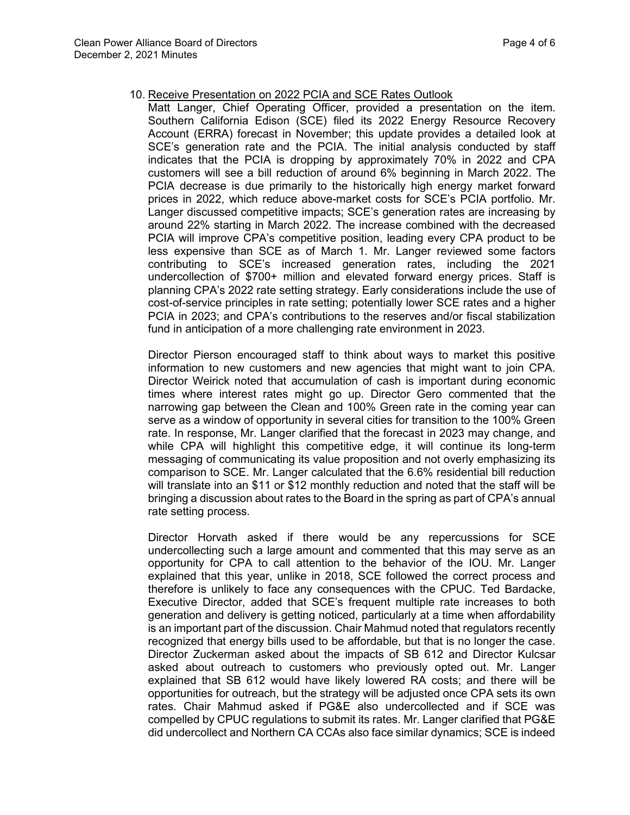- 10. Receive Presentation on 2022 PCIA and SCE Rates Outlook
	- Matt Langer, Chief Operating Officer, provided a presentation on the item. Southern California Edison (SCE) filed its 2022 Energy Resource Recovery Account (ERRA) forecast in November; this update provides a detailed look at SCE's generation rate and the PCIA. The initial analysis conducted by staff indicates that the PCIA is dropping by approximately 70% in 2022 and CPA customers will see a bill reduction of around 6% beginning in March 2022. The PCIA decrease is due primarily to the historically high energy market forward prices in 2022, which reduce above-market costs for SCE's PCIA portfolio. Mr. Langer discussed competitive impacts; SCE's generation rates are increasing by around 22% starting in March 2022. The increase combined with the decreased PCIA will improve CPA's competitive position, leading every CPA product to be less expensive than SCE as of March 1. Mr. Langer reviewed some factors contributing to SCE's increased generation rates, including the 2021 undercollection of \$700+ million and elevated forward energy prices. Staff is planning CPA's 2022 rate setting strategy. Early considerations include the use of cost-of-service principles in rate setting; potentially lower SCE rates and a higher PCIA in 2023; and CPA's contributions to the reserves and/or fiscal stabilization fund in anticipation of a more challenging rate environment in 2023.

Director Pierson encouraged staff to think about ways to market this positive information to new customers and new agencies that might want to join CPA. Director Weirick noted that accumulation of cash is important during economic times where interest rates might go up. Director Gero commented that the narrowing gap between the Clean and 100% Green rate in the coming year can serve as a window of opportunity in several cities for transition to the 100% Green rate. In response, Mr. Langer clarified that the forecast in 2023 may change, and while CPA will highlight this competitive edge, it will continue its long-term messaging of communicating its value proposition and not overly emphasizing its comparison to SCE. Mr. Langer calculated that the 6.6% residential bill reduction will translate into an \$11 or \$12 monthly reduction and noted that the staff will be bringing a discussion about rates to the Board in the spring as part of CPA's annual rate setting process.

Director Horvath asked if there would be any repercussions for SCE undercollecting such a large amount and commented that this may serve as an opportunity for CPA to call attention to the behavior of the IOU. Mr. Langer explained that this year, unlike in 2018, SCE followed the correct process and therefore is unlikely to face any consequences with the CPUC. Ted Bardacke, Executive Director, added that SCE's frequent multiple rate increases to both generation and delivery is getting noticed, particularly at a time when affordability is an important part of the discussion. Chair Mahmud noted that regulators recently recognized that energy bills used to be affordable, but that is no longer the case. Director Zuckerman asked about the impacts of SB 612 and Director Kulcsar asked about outreach to customers who previously opted out. Mr. Langer explained that SB 612 would have likely lowered RA costs; and there will be opportunities for outreach, but the strategy will be adjusted once CPA sets its own rates. Chair Mahmud asked if PG&E also undercollected and if SCE was compelled by CPUC regulations to submit its rates. Mr. Langer clarified that PG&E did undercollect and Northern CA CCAs also face similar dynamics; SCE is indeed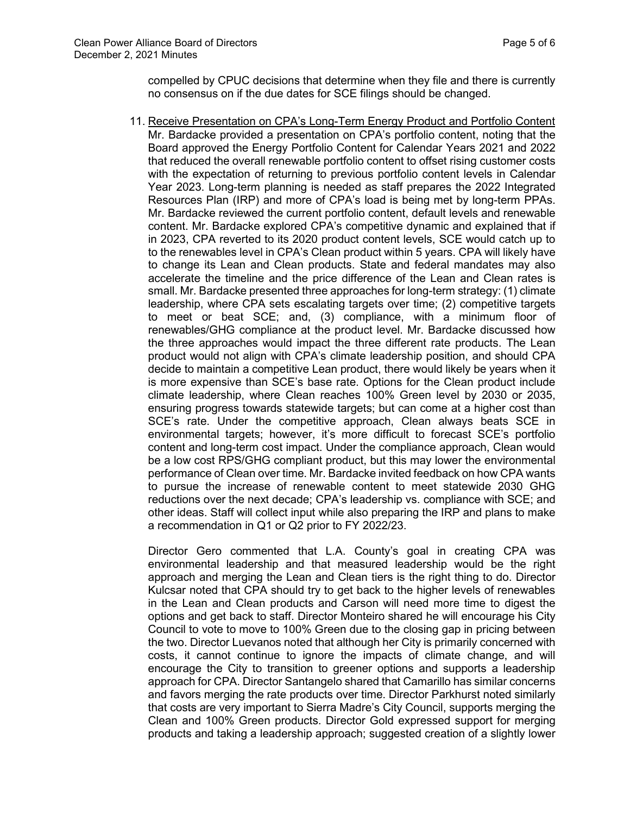compelled by CPUC decisions that determine when they file and there is currently no consensus on if the due dates for SCE filings should be changed.

11. Receive Presentation on CPA's Long-Term Energy Product and Portfolio Content Mr. Bardacke provided a presentation on CPA's portfolio content, noting that the Board approved the Energy Portfolio Content for Calendar Years 2021 and 2022 that reduced the overall renewable portfolio content to offset rising customer costs with the expectation of returning to previous portfolio content levels in Calendar Year 2023. Long-term planning is needed as staff prepares the 2022 Integrated Resources Plan (IRP) and more of CPA's load is being met by long-term PPAs. Mr. Bardacke reviewed the current portfolio content, default levels and renewable content. Mr. Bardacke explored CPA's competitive dynamic and explained that if in 2023, CPA reverted to its 2020 product content levels, SCE would catch up to to the renewables level in CPA's Clean product within 5 years. CPA will likely have to change its Lean and Clean products. State and federal mandates may also accelerate the timeline and the price difference of the Lean and Clean rates is small. Mr. Bardacke presented three approaches for long-term strategy: (1) climate leadership, where CPA sets escalating targets over time; (2) competitive targets to meet or beat SCE; and, (3) compliance, with a minimum floor of renewables/GHG compliance at the product level. Mr. Bardacke discussed how the three approaches would impact the three different rate products. The Lean product would not align with CPA's climate leadership position, and should CPA decide to maintain a competitive Lean product, there would likely be years when it is more expensive than SCE's base rate. Options for the Clean product include climate leadership, where Clean reaches 100% Green level by 2030 or 2035, ensuring progress towards statewide targets; but can come at a higher cost than SCE's rate. Under the competitive approach, Clean always beats SCE in environmental targets; however, it's more difficult to forecast SCE's portfolio content and long-term cost impact. Under the compliance approach, Clean would be a low cost RPS/GHG compliant product, but this may lower the environmental performance of Clean over time. Mr. Bardacke invited feedback on how CPA wants to pursue the increase of renewable content to meet statewide 2030 GHG reductions over the next decade; CPA's leadership vs. compliance with SCE; and other ideas. Staff will collect input while also preparing the IRP and plans to make a recommendation in Q1 or Q2 prior to FY 2022/23.

Director Gero commented that L.A. County's goal in creating CPA was environmental leadership and that measured leadership would be the right approach and merging the Lean and Clean tiers is the right thing to do. Director Kulcsar noted that CPA should try to get back to the higher levels of renewables in the Lean and Clean products and Carson will need more time to digest the options and get back to staff. Director Monteiro shared he will encourage his City Council to vote to move to 100% Green due to the closing gap in pricing between the two. Director Luevanos noted that although her City is primarily concerned with costs, it cannot continue to ignore the impacts of climate change, and will encourage the City to transition to greener options and supports a leadership approach for CPA. Director Santangelo shared that Camarillo has similar concerns and favors merging the rate products over time. Director Parkhurst noted similarly that costs are very important to Sierra Madre's City Council, supports merging the Clean and 100% Green products. Director Gold expressed support for merging products and taking a leadership approach; suggested creation of a slightly lower